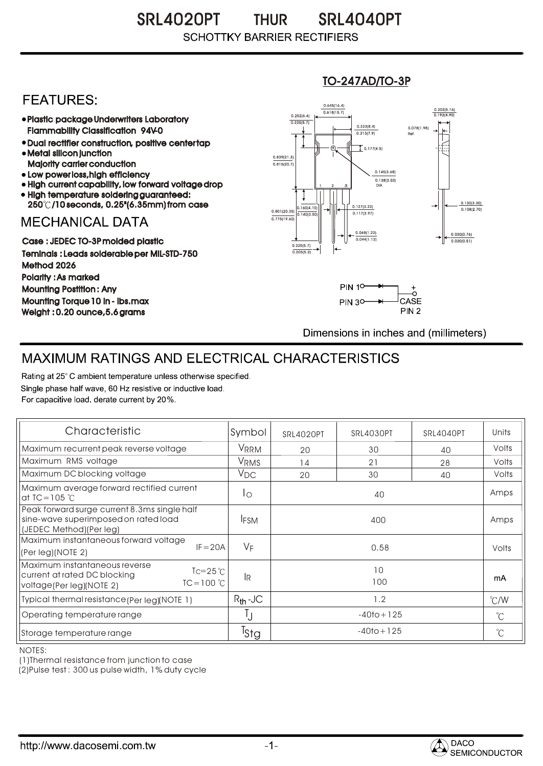SRL4020PT THUR SRL4040PT **THUR SCHOTTKY BARRIER RECTIFIERS** 

## **FEATURES:**

- Plastic package Underwriters Laboratory Flammability Classification 94V-0
- Dual rectifier construction, positive center tap Metal silicon junction
- Majority carrier conduction
- Low power loss, high efficiency
- High current capability, low forward voltage drop • High temperature soldering guaranteed:
- 250 /10 seconds, 0.25"(6.35mm) from case

## **MECHANICAL DATA**

Case : JEDEC TO-3P molded plastic Teminals : Leads solderable per MIL-STD-750 Method 2026 Polarity : As marked Mounting Postition : Any Mounting Torque 10 in - lbs.max Weight : 0.20 ounce,5.6 grams

#### 0.160(4.10)  $0.140(3)$ 0.127(3.22) 0.117(2.97) 0.030(0.76) 0.020(0.51) 0.801(20.35) 0.138(3.50) 0.145(3.68) 0.775(19.60) 0.839(21.3)<br>0.815(20.7) 0.252(6.4) 0.225(5.7)  $0.618(15.7)$ 0.645(16.4) 0.203(5.16) 0.193(4.90) <sup>1</sup> <sup>2</sup> 3 DIA  $\overline{1}$  0.177(4.5) 0.078(1.98) Ref. 0.130(3.30)<br>0.108(2.70) 0.225(5.7) 0.205(5.2)  $0.313(7.9)$ 0.323(8.4) 0.048(1.22) 0.044(1.12)

TO-247AD/TO-3P



Dimensions in inches and (millimeters)

# MAXIMUM RATINGS AND ELECTRICAL CHARACTERISTICS

Rating at 25° C ambient temperature unless otherwise specified. Single phase half wave, 60 Hz resistive or inductive load. For capacitive load, derate current by 20%.

| Characteristic                                                                                                                    | Symbol           | <b>SRL4020PT</b> | SRL4030PT | SRL4040PT | Units         |
|-----------------------------------------------------------------------------------------------------------------------------------|------------------|------------------|-----------|-----------|---------------|
| Maximum recurrent peak reverse voltage                                                                                            | VRRM             | 20               | 30        | 40        | Volts         |
| Maximum RMS voltage                                                                                                               | V <sub>RMS</sub> | 14               | 21        | 28        | Volts         |
| Maximum DC blocking voltage                                                                                                       | $V_{DC}$         | 20               | 30        | 40        | Volts         |
| Maximum average forward rectified current<br>at TC = $105^\circ C$                                                                | $1^{\circ}$      | 40               |           |           | Amps          |
| Peak forward surge current 8.3ms single half<br>sine-wave superimposed on rated load<br>(JEDEC Method)(Per leg)                   | <b>IFSM</b>      | 400              |           |           | Amps          |
| Maximum instantaneous forward voltage<br>$IF = 20A$<br>(Per leg)(NOTE 2)                                                          | VF               | 0.58             |           |           | Volts         |
| Maximum instantaneous reverse<br>$Tc = 25^{\circ}$ C<br>current at rated DC blocking<br>$TC = 100 °C$<br>voltage(Per leg)(NOTE 2) | <b>IR</b>        | 10<br>100        |           |           | mA            |
| Typical thermal resistance (Per leg)(NOTE 1)                                                                                      | $R_{th}$ -JC     | 1.2              |           |           | $\degree$ C/W |
| Operating temperature range                                                                                                       |                  | $-40$ to + 125   |           |           | $^{\circ}$ C  |
| Storage temperature range                                                                                                         | <sup>T</sup> Stg | $-40$ to + 125   |           |           | $^{\circ}$ C  |

NOTES:

(1)Thermal resistance from junction to case

(2)Pulse test : 300 us pulse width, 1% duty cycle